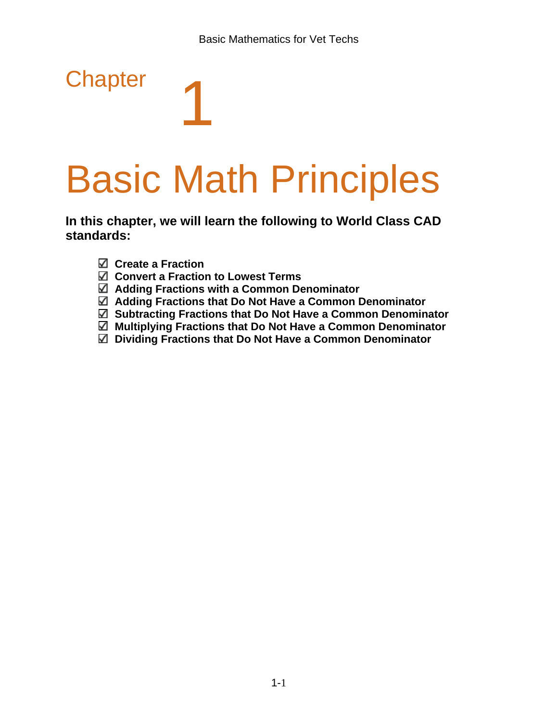# Basic Math Principles

**In this chapter, we will learn the following to World Class CAD standards:**

**Create a Fraction** 

**Chapter** 

- **Convert a Fraction to Lowest Terms**
- **Adding Fractions with a Common Denominator**
- **Adding Fractions that Do Not Have a Common Denominator**
- **Subtracting Fractions that Do Not Have a Common Denominator**
- **Multiplying Fractions that Do Not Have a Common Denominator**
- **Dividing Fractions that Do Not Have a Common Denominator**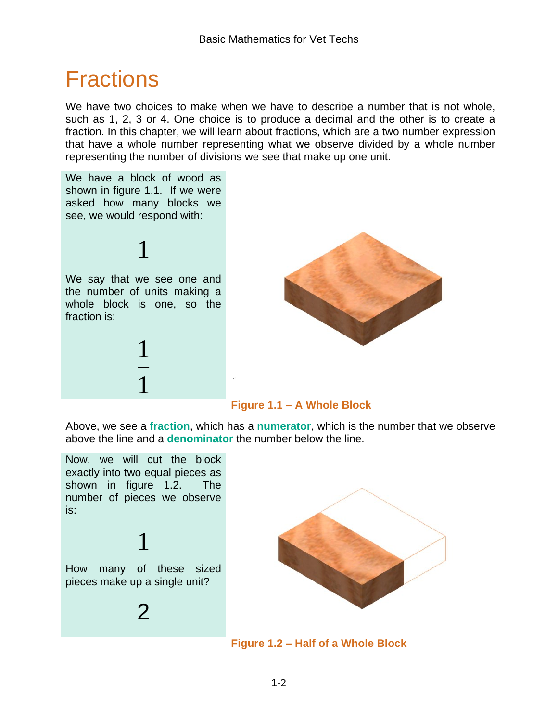# Fractions

We have two choices to make when we have to describe a number that is not whole, such as 1, 2, 3 or 4. One choice is to produce a decimal and the other is to create a fraction. In this chapter, we will learn about fractions, which are a two number expression that have a whole number representing what we observe divided by a whole number representing the number of divisions we see that make up one unit.

We have a block of wood as shown in figure 1.1. If we were asked how many blocks we see, we would respond with:

We say that we see one and the number of units making a whole block is one, so the fraction is:

1

1

1



#### **Figure 1.1 – A Whole Block**

Above, we see a **fraction**, which has a **numerator**, which is the number that we observe above the line and a **denominator** the number below the line.

Now, we will cut the block exactly into two equal pieces as shown in figure 1.2. The number of pieces we observe is:

How many of these sized pieces make up a single unit?

1

 $\mathcal{P}$ 



**Figure 1.2 – Half of a Whole Block**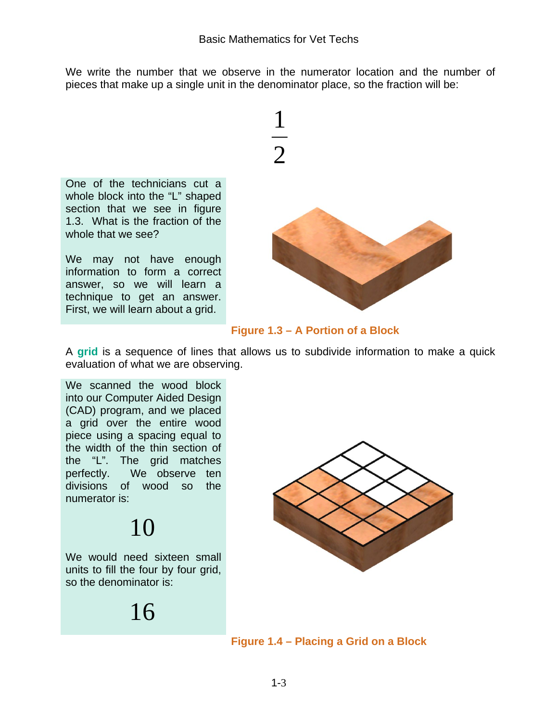We write the number that we observe in the numerator location and the number of pieces that make up a single unit in the denominator place, so the fraction will be:



One of the technicians cut a whole block into the "L" shaped section that we see in figure 1.3. What is the fraction of the whole that we see?

We may not have enough information to form a correct answer, so we will learn a technique to get an answer. First, we will learn about a grid.



#### **Figure 1.3 – A Portion of a Block**

A **grid** is a sequence of lines that allows us to subdivide information to make a quick evaluation of what we are observing.

We scanned the wood block into our Computer Aided Design (CAD) program, and we placed a grid over the entire wood piece using a spacing equal to the width of the thin section of the "L". The grid matches perfectly. We observe ten divisions of wood so the numerator is:

# 10

We would need sixteen small units to fill the four by four grid, so the denominator is:

16



**Figure 1.4 – Placing a Grid on a Block**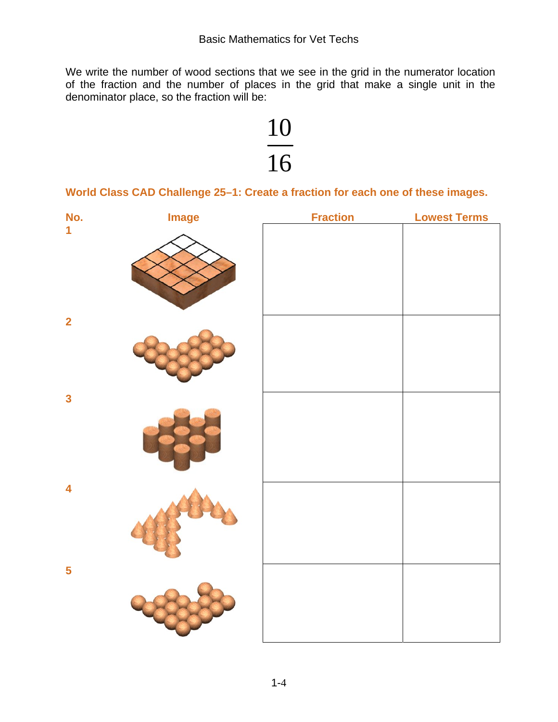We write the number of wood sections that we see in the grid in the numerator location of the fraction and the number of places in the grid that make a single unit in the denominator place, so the fraction will be:



**World Class CAD Challenge 25–1: Create a fraction for each one of these images.** 

| No.                     | <b>Image</b> | <b>Fraction</b> | <b>Lowest Terms</b> |
|-------------------------|--------------|-----------------|---------------------|
| $\overline{\mathbf{1}}$ |              |                 |                     |
| $\overline{\mathbf{2}}$ |              |                 |                     |
| $\overline{\mathbf{3}}$ |              |                 |                     |
| $\overline{\mathbf{4}}$ |              |                 |                     |
| 5                       |              |                 |                     |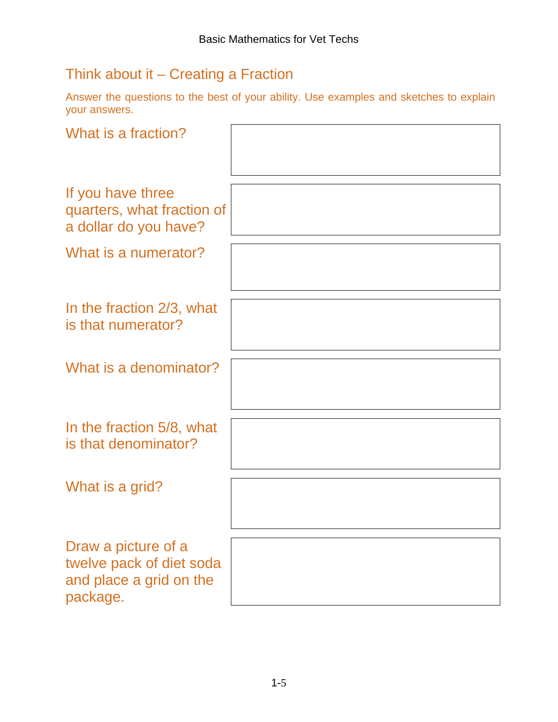## Think about it – Creating a Fraction

Answer the questions to the best of your ability. Use examples and sketches to explain your answers.

| What is a fraction?                                                                    |  |
|----------------------------------------------------------------------------------------|--|
| If you have three<br>quarters, what fraction of<br>a dollar do you have?               |  |
| What is a numerator?                                                                   |  |
| In the fraction 2/3, what<br>is that numerator?                                        |  |
| What is a denominator?                                                                 |  |
| In the fraction 5/8, what<br>is that denominator?                                      |  |
| What is a grid?                                                                        |  |
| Draw a picture of a<br>twelve pack of diet soda<br>and place a grid on the<br>package. |  |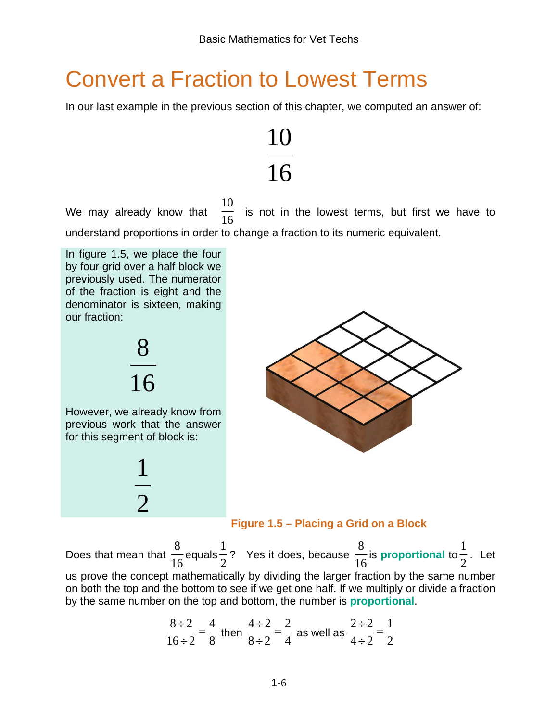# Convert a Fraction to Lowest Terms

In our last example in the previous section of this chapter, we computed an answer of:



We may already know that 10 is not in the lowest terms, but first we have to understand proportions in order to change a fraction to its numeric equivalent.

In figure 1.5, we place the four by four grid over a half block we previously used. The numerator of the fraction is eight and the denominator is sixteen, making our fraction:





**Figure 1.5 – Placing a Grid on a Block**

Does that mean that  $\frac{1}{16}$ 8 equals  $\frac{1}{2}$ 1 ? Yes it does, because  $\frac{1}{16}$ 8 is **proportional** to  $\frac{1}{2}$ 1 . Let us prove the concept mathematically by dividing the larger fraction by the same number on both the top and the bottom to see if we get one half. If we multiply or divide a fraction by the same number on the top and bottom, the number is **proportional**.

$$
\frac{8 \div 2}{16 \div 2} = \frac{4}{8}
$$
 then  $\frac{4 \div 2}{8 \div 2} = \frac{2}{4}$  as well as  $\frac{2 \div 2}{4 \div 2} = \frac{1}{2}$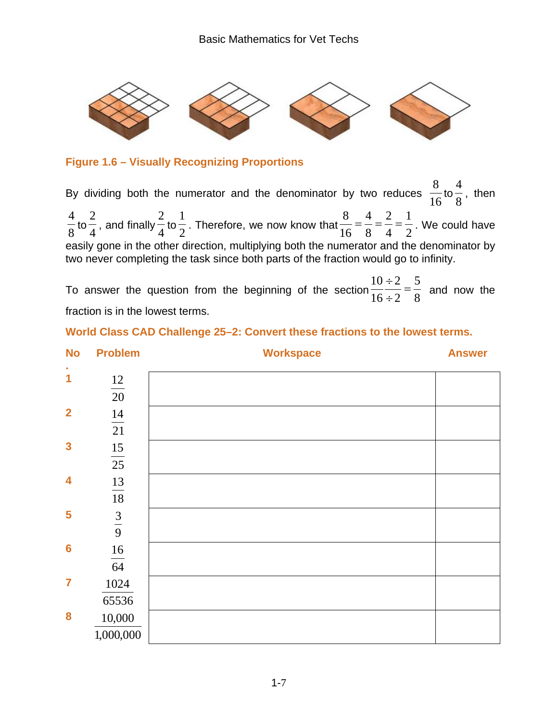

#### **Figure 1.6 – Visually Recognizing Proportions**

By dividing both the numerator and the denominator by two reduces  $\frac{1}{16}$  to  $\frac{1}{8}$  , then to  $\frac{1}{4}$  , and finally  $\frac{1}{4}$  to  $\frac{1}{2}$  . Therefore, we now know that  $\frac{1}{16} = \frac{1}{8} = \frac{1}{4} = \frac{1}{2}$   $\frac{8}{5} = \frac{4}{2} = \frac{2}{4} = \frac{1}{2}$ . We could have easily gone in the other direction, multiplying both the numerator and the denominator by two never completing the task since both parts of the fraction would go to infinity.

To answer the question from the beginning of the section  $\frac{1}{16 \div 2} = \frac{1}{8}$   $\frac{10 \div 2}{16 \div 2}$  = and now the fraction is in the lowest terms.

#### **World Class CAD Challenge 25–2: Convert these fractions to the lowest terms.**

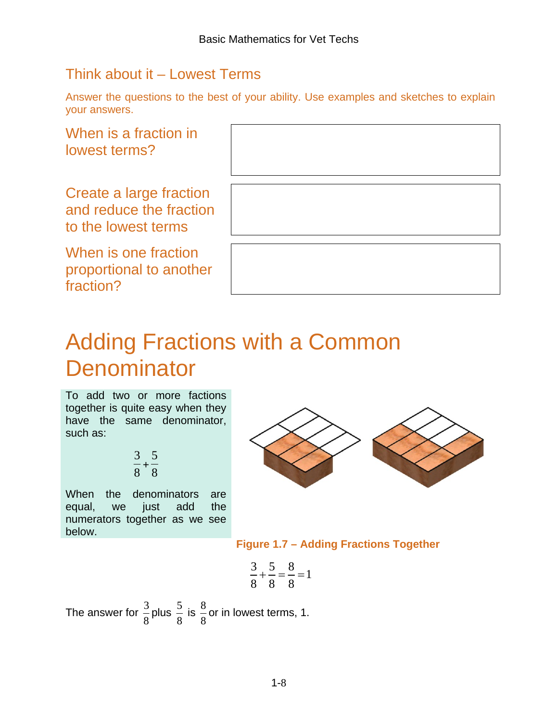## Think about it – Lowest Terms

Answer the questions to the best of your ability. Use examples and sketches to explain your answers.

When is a fraction in lowest terms?

Create a large fraction and reduce the fraction to the lowest terms

When is one fraction proportional to another fraction?

## Adding Fractions with a Common **Denominator**

To add two or more factions together is quite easy when they have the same denominator, such as:

$$
\frac{3}{8} + \frac{5}{8}
$$

When the denominators are equal, we just add the numerators together as we see below.



**Figure 1.7 – Adding Fractions Together** 

$$
\frac{3}{8} + \frac{5}{8} = \frac{8}{8} = 1
$$

The answer for  $\frac{3}{8}$  plus  $\frac{5}{8}$  is 8  $\frac{8}{6}$  or in lowest terms, 1.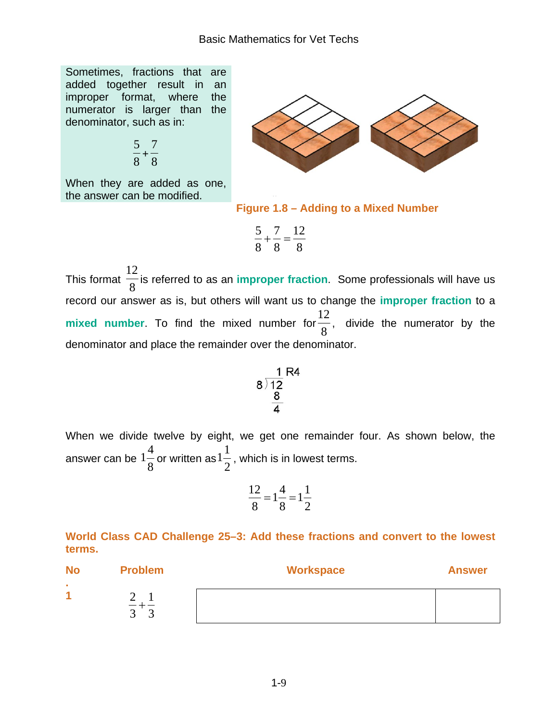Sometimes, fractions that are added together result in an improper format, where the numerator is larger than the denominator, such as in:

$$
\frac{5}{8} + \frac{7}{8}
$$

When they are added as one, the answer can be modified.



**Figure 1.8 – Adding to a Mixed Number**

$$
\frac{5}{8} + \frac{7}{8} = \frac{12}{8}
$$

This format  $\frac{1}{8}$ 12 is referred to as an **improper fraction**. Some professionals will have us record our answer as is, but others will want us to change the **improper fraction** to a **mixed number**. To find the mixed number for  $\frac{1}{8}$  $\frac{12}{9}$ , divide the numerator by the denominator and place the remainder over the denominator.

$$
\begin{array}{r}\n 1 R4 \\
8 \overline{\smash)12} \\
 8 \\
 \underline{8} \\
 4\n \end{array}
$$

When we divide twelve by eight, we get one remainder four. As shown below, the answer can be  $\frac{1-8}{8}$ 4  $1\frac{1}{8}$  or written as  $1\frac{1}{2}$ 1  $1\frac{1}{2}$ , which is in lowest terms.

$$
\frac{12}{8} = 1\frac{4}{8} = 1\frac{1}{2}
$$

#### **World Class CAD Challenge 25–3: Add these fractions and convert to the lowest terms.**

| <b>No</b> | <b>Problem</b> | <b>Workspace</b> | <b>Answer</b> |
|-----------|----------------|------------------|---------------|
| л.<br>и   | ັ              |                  |               |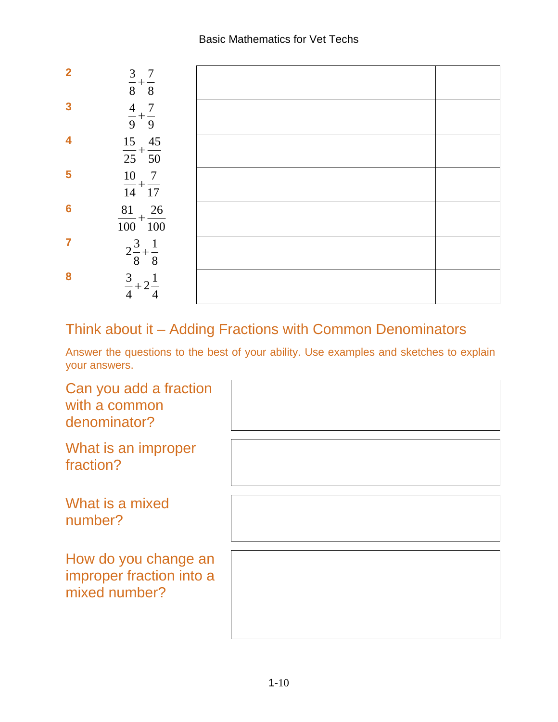

## Think about it – Adding Fractions with Common Denominators

Answer the questions to the best of your ability. Use examples and sketches to explain your answers.

Can you add a fraction with a common denominator?

What is an improper fraction?

What is a mixed number?

How do you change an improper fraction into a mixed number?

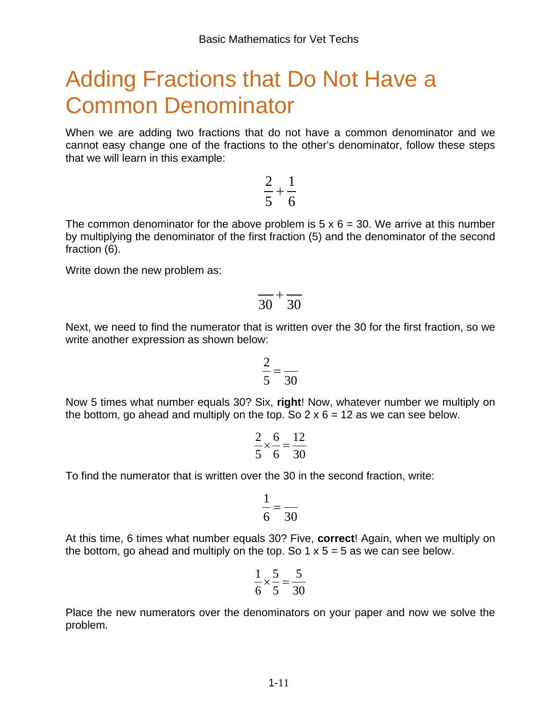# Adding Fractions that Do Not Have a Common Denominator

When we are adding two fractions that do not have a common denominator and we cannot easy change one of the fractions to the other's denominator, follow these steps that we will learn in this example:

1

6 5 The common denominator for the above problem is  $5 \times 6 = 30$ . We arrive at this number by multiplying the denominator of the first fraction (5) and the denominator of the second fraction (6).

2 +

Write down the new problem as:

$$
\frac{}{30}+\frac{}{30}
$$

Next, we need to find the numerator that is written over the 30 for the first fraction, so we write another expression as shown below:

$$
\frac{2}{5} = \frac{2}{30}
$$

Now 5 times what number equals 30? Six, **right**! Now, whatever number we multiply on the bottom, go ahead and multiply on the top. So  $2 \times 6 = 12$  as we can see below.

$$
\frac{2}{5} \times \frac{6}{6} = \frac{12}{30}
$$

To find the numerator that is written over the 30 in the second fraction, write:

$$
\frac{1}{6} = \frac{1}{30}
$$

At this time, 6 times what number equals 30? Five, **correct**! Again, when we multiply on the bottom, go ahead and multiply on the top. So  $1 \times 5 = 5$  as we can see below.

$$
\frac{1}{6} \times \frac{5}{5} = \frac{5}{30}
$$

Place the new numerators over the denominators on your paper and now we solve the problem.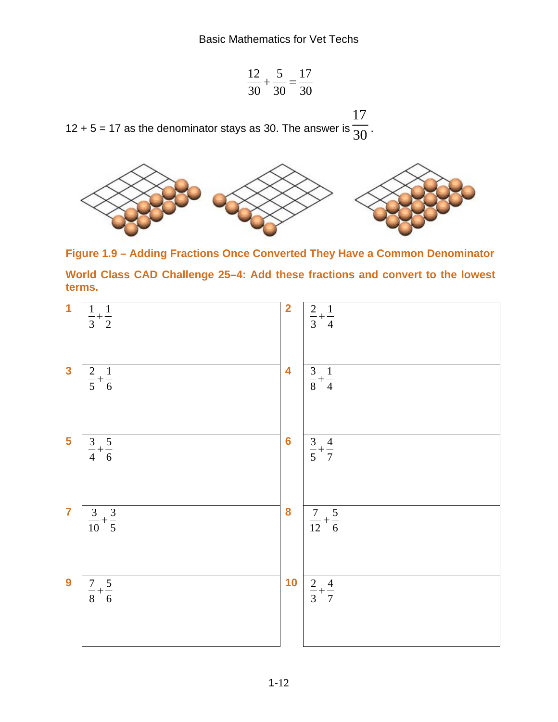$$
\frac{12}{30} + \frac{5}{30} = \frac{17}{30}
$$

12 + 5 = 17 as the denominator stays as 30. The answer is  $\overline{30}$  . 



**Figure 1.9 – Adding Fractions Once Converted They Have a Common Denominator World Class CAD Challenge 25–4: Add these fractions and convert to the lowest** 

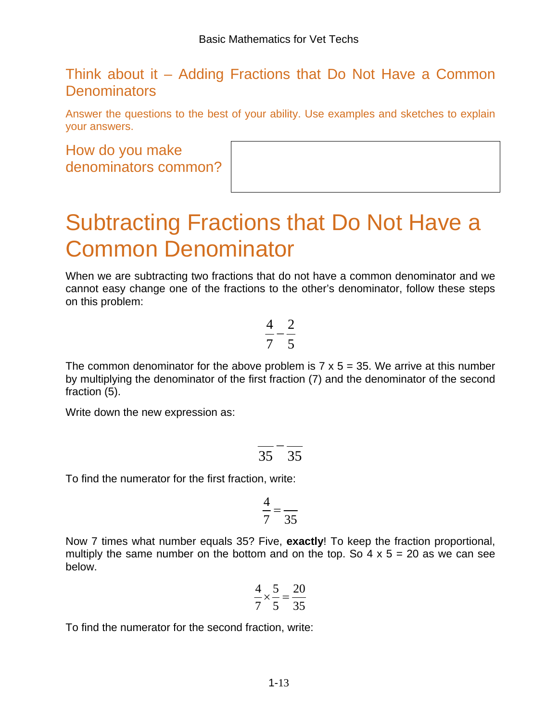## Think about it – Adding Fractions that Do Not Have a Common **Denominators**

Answer the questions to the best of your ability. Use examples and sketches to explain your answers.

#### How do you make denominators common?

## Subtracting Fractions that Do Not Have a Common Denominator

When we are subtracting two fractions that do not have a common denominator and we cannot easy change one of the fractions to the other's denominator, follow these steps on this problem:

$$
\frac{4}{7}-\frac{2}{5}
$$

The common denominator for the above problem is  $7 \times 5 = 35$ . We arrive at this number by multiplying the denominator of the first fraction (7) and the denominator of the second fraction (5).

Write down the new expression as:

$$
\frac{}{35} - \frac{}{35}
$$

To find the numerator for the first fraction, write:

$$
\frac{4}{7} = \frac{4}{35}
$$

Now 7 times what number equals 35? Five, **exactly**! To keep the fraction proportional, multiply the same number on the bottom and on the top. So  $4 \times 5 = 20$  as we can see below.

$$
\frac{4}{7} \times \frac{5}{5} = \frac{20}{35}
$$

To find the numerator for the second fraction, write: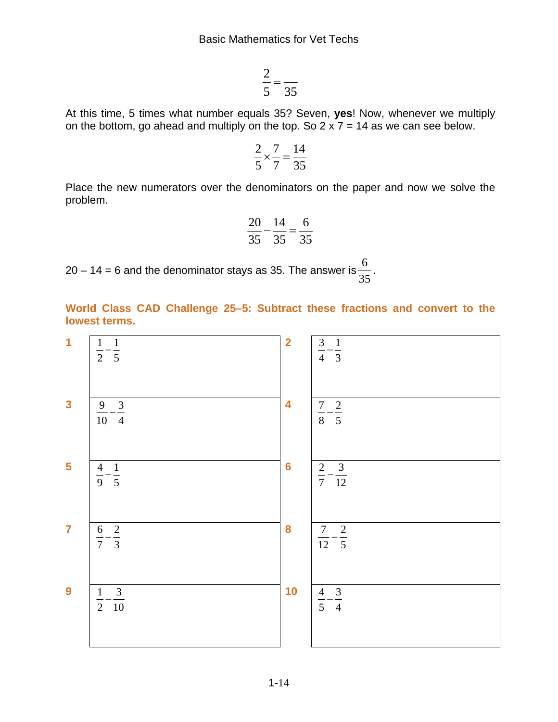35  $\frac{2}{5}$  =

At this time, 5 times what number equals 35? Seven, **yes**! Now, whenever we multiply on the bottom, go ahead and multiply on the top. So  $2 \times 7 = 14$  as we can see below.

$$
\frac{2}{5} \times \frac{7}{7} = \frac{14}{35}
$$

Place the new numerators over the denominators on the paper and now we solve the problem.

$$
\frac{20}{35} - \frac{14}{35} = \frac{6}{35}
$$

20 – 14 = 6 and the denominator stays as 35. The answer is  $\frac{8}{35}$  $\frac{6}{2}$ .

**World Class CAD Challenge 25–5: Subtract these fractions and convert to the lowest terms.**

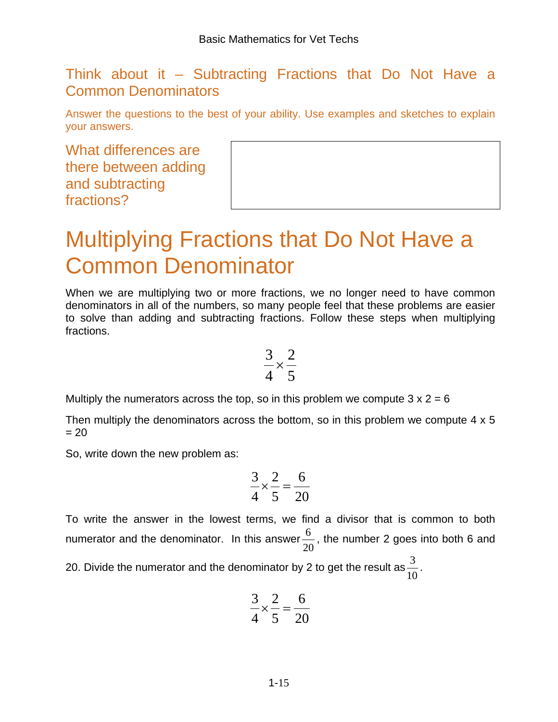### Think about it – Subtracting Fractions that Do Not Have a Common Denominators

Answer the questions to the best of your ability. Use examples and sketches to explain your answers.

What differences are there between adding and subtracting fractions?

# Multiplying Fractions that Do Not Have a Common Denominator

When we are multiplying two or more fractions, we no longer need to have common denominators in all of the numbers, so many people feel that these problems are easier to solve than adding and subtracting fractions. Follow these steps when multiplying fractions.

$$
\frac{3}{4} \times \frac{2}{5}
$$

Multiply the numerators across the top, so in this problem we compute  $3 \times 2 = 6$ 

Then multiply the denominators across the bottom, so in this problem we compute 4 x 5  $= 20$ 

So, write down the new problem as:

$$
\frac{3}{4} \times \frac{2}{5} = \frac{6}{20}
$$

To write the answer in the lowest terms, we find a divisor that is common to both numerator and the denominator. In this answer 20  $\frac{6}{10}$ , the number 2 goes into both 6 and

20. Divide the numerator and the denominator by 2 to get the result as  $\frac{3}{10}$ .

$$
\frac{3}{4} \times \frac{2}{5} = \frac{6}{20}
$$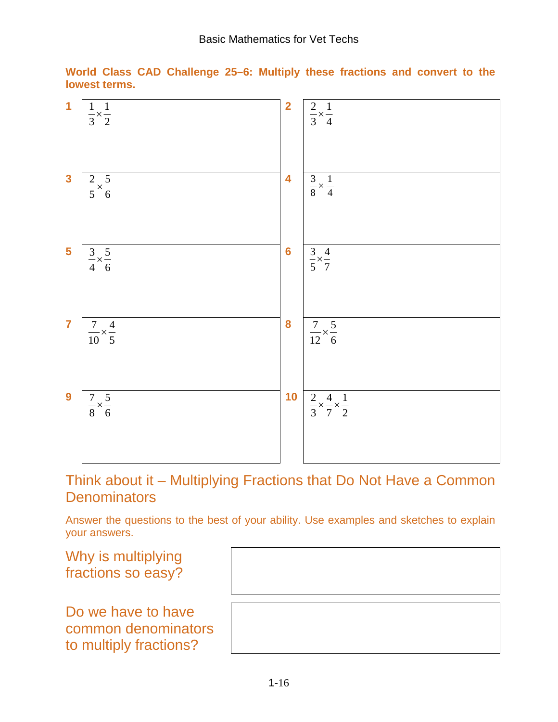

**World Class CAD Challenge 25–6: Multiply these fractions and convert to the lowest terms.**

Think about it – Multiplying Fractions that Do Not Have a Common **Denominators** 

Answer the questions to the best of your ability. Use examples and sketches to explain your answers.

Why is multiplying fractions so easy?

Do we have to have common denominators to multiply fractions?

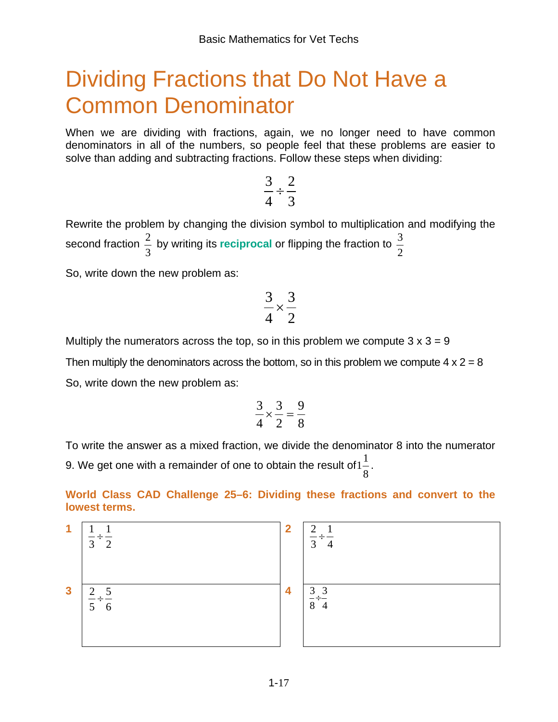# Dividing Fractions that Do Not Have a Common Denominator

When we are dividing with fractions, again, we no longer need to have common denominators in all of the numbers, so people feel that these problems are easier to solve than adding and subtracting fractions. Follow these steps when dividing:

$$
\frac{3}{4} \div \frac{2}{3}
$$

Rewrite the problem by changing the division symbol to multiplication and modifying the second fraction  $\frac{2}{3}$  by writing its reciprocal or flipping the fraction to  $\frac{3}{2}$ 

So, write down the new problem as:

$$
\frac{3}{4} \times \frac{3}{2}
$$

Multiply the numerators across the top, so in this problem we compute  $3 \times 3 = 9$ 

Then multiply the denominators across the bottom, so in this problem we compute  $4 \times 2 = 8$ 

So, write down the new problem as:

$$
\frac{3}{4} \times \frac{3}{2} = \frac{9}{8}
$$

To write the answer as a mixed fraction, we divide the denominator 8 into the numerator 9. We get one with a remainder of one to obtain the result of  $1\frac{1}{8}.$ 

**World Class CAD Challenge 25–6: Dividing these fractions and convert to the lowest terms.**

1 
$$
\frac{1}{3} \div \frac{1}{2}
$$
  
3  $\frac{2}{5} \div \frac{5}{6}$   
4  $\frac{3}{8} \div \frac{3}{4}$